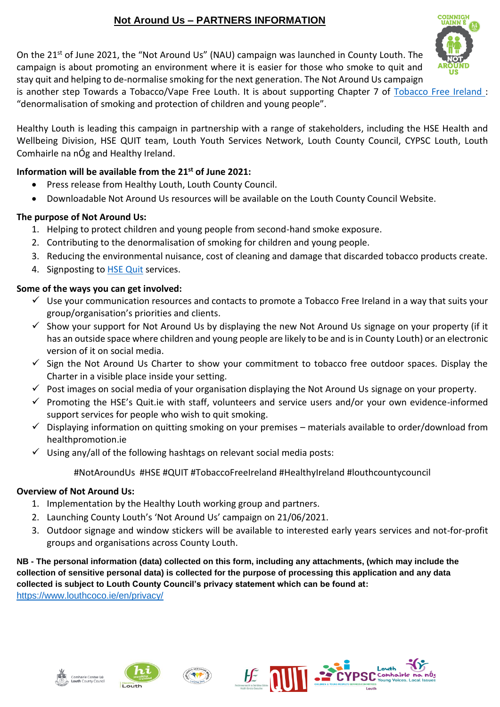## **Not Around Us – PARTNERS INFORMATION**



On the 21<sup>st</sup> of June 2021, the "Not Around Us" (NAU) campaign was launched in County Louth. The campaign is about promoting an environment where it is easier for those who smoke to quit and stay quit and helping to de-normalise smoking for the next generation. The Not Around Us campaign

is another step Towards a Tobacco/Vape Free Louth. It is about supporting Chapter 7 of [Tobacco Free Ireland](file:///C:/Users/jmg/Downloads/0c99a96e05c54b249c7d53b93b17437c%20(5).pdf) : "denormalisation of smoking and protection of children and young people".

Healthy Louth is leading this campaign in partnership with a range of stakeholders, including the HSE Health and Wellbeing Division, HSE QUIT team, Louth Youth Services Network, Louth County Council, CYPSC Louth, Louth Comhairle na nÓg and Healthy Ireland.

### **Information will be available from the 21 st of June 2021:**

- Press release from Healthy Louth, Louth County Council.
- Downloadable Not Around Us resources will be available on the Louth County Council Website.

## **The purpose of Not Around Us:**

- 1. Helping to protect children and young people from second-hand smoke exposure.
- 2. Contributing to the denormalisation of smoking for children and young people.
- 3. Reducing the environmental nuisance, cost of cleaning and damage that discarded tobacco products create.
- 4. Signposting to [HSE Quit](https://www2.hse.ie/quit-smoking/) services.

### **Some of the ways you can get involved:**

- $\checkmark$  Use your communication resources and contacts to promote a Tobacco Free Ireland in a way that suits your group/organisation's priorities and clients.
- $\checkmark$  Show your support for Not Around Us by displaying the new Not Around Us signage on your property (if it has an outside space where children and young people are likely to be and is in County Louth) or an electronic version of it on social media.
- $\checkmark$  Sign the Not Around Us Charter to show your commitment to tobacco free outdoor spaces. Display the Charter in a visible place inside your setting.
- $\checkmark$  Post images on social media of your organisation displaying the Not Around Us signage on your property.
- $\checkmark$  Promoting the HSE's Quit.ie with staff, volunteers and service users and/or your own evidence-informed support services for people who wish to quit smoking.
- $\checkmark$  Displaying information on quitting smoking on your premises materials available to order/download from healthpromotion.ie
- $\checkmark$  Using any/all of the following hashtags on relevant social media posts:

#NotAroundUs #HSE #QUIT #TobaccoFreeIreland #HealthyIreland #louthcountycouncil

#### **Overview of Not Around Us:**

- 1. Implementation by the Healthy Louth working group and partners.
- 2. Launching County Louth's 'Not Around Us' campaign on 21/06/2021.
- 3. Outdoor signage and window stickers will be available to interested early years services and not-for-profit groups and organisations across County Louth.

**NB - The personal information (data) collected on this form, including any attachments, (which may include the collection of sensitive personal data) is collected for the purpose of processing this application and any data collected is subject to Louth County Council's privacy statement which can be found at:**

[https://www.louthcoco.ie/en/privacy/](https://scanner.topsec.com/?r=show&u=https%3A%2F%2Fwww.louthcoco.ie%2Fen%2Fprivacy%2F&d=1406&t=b8e7589e2221b4b87a17f2b907177e064fb1a861)